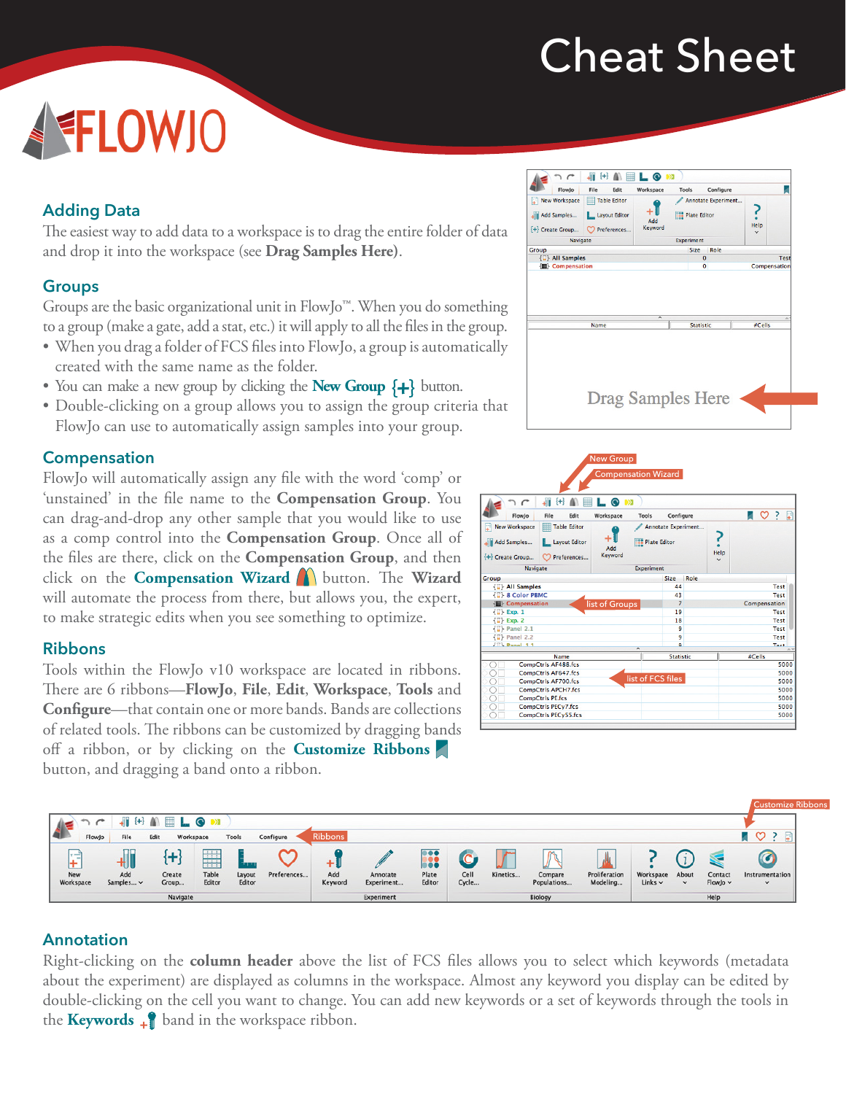# Cheat Sheet

# FLOWJO

## **Adding Data**

The easiest way to add data to a workspace is to drag the entire folder of data and drop it into the workspace (see **Drag Samples Here)**.

### **Groups**

Groups are the basic organizational unit in FlowJo™. When you do something to a group (make a gate, add a stat, etc.) it will apply to all the files in the group.

- When you drag a folder of FCS files into FlowJo, a group is automatically created with the same name as the folder.
- You can make a new group by clicking the **New Group**  $\{+\}$  button.
- Double-clicking on a group allows you to assign the group criteria that FlowJo can use to automatically assign samples into your group.

#### **Compensation**

FlowJo will automatically assign any file with the word 'comp' or 'unstained' in the file name to the **Compensation Group**. You can drag-and-drop any other sample that you would like to use as a comp control into the **Compensation Group**. Once all of the files are there, click on the **Compensation Group**, and then click on the **Compensation Wizard** button. The **Wizard** will automate the process from there, but allows you, the expert, to make strategic edits when you see something to optimize.

#### **Ribbons**

Tools within the FlowJo v10 workspace are located in ribbons. There are 6 ribbons—**FlowJo**, **File**, **Edit**, **Workspace**, **Tools** and **Configure**—that contain one or more bands. Bands are collections of related tools. The ribbons can be customized by dragging bands off a ribbon, or by clicking on the **Customize Ribbons** button, and dragging a band onto a ribbon.

| FlowJo                                                                | File<br>Edit                                      | Workspace                | Tools               | Configure           |                      |             |
|-----------------------------------------------------------------------|---------------------------------------------------|--------------------------|---------------------|---------------------|----------------------|-------------|
| <b>New Workspace</b><br>F<br>Add Samples<br><sup>4</sup> Create Group | Table Editor<br>Layout Editor<br>Preferences<br>O | Add<br>Keyword           | <b>Plate Editor</b> | Annotate Experiment | Help<br>$\checkmark$ |             |
| <b>Navigate</b>                                                       |                                                   | <b>Experiment</b>        |                     |                     |                      |             |
| Group                                                                 |                                                   |                          | Size                | Role                |                      |             |
| <b>{7} All Samples</b>                                                |                                                   |                          |                     | $\overline{0}$      |                      | <b>Test</b> |
| 個 Compensation                                                        |                                                   | $\overline{\phantom{a}}$ |                     | 0                   | Compensation         |             |
|                                                                       | Name                                              |                          | <b>Statistic</b>    |                     | #Cells               |             |





#### **Annotation**

Right-clicking on the **column header** above the list of FCS files allows you to select which keywords (metadata about the experiment) are displayed as columns in the workspace. Almost any keyword you display can be edited by double‐clicking on the cell you want to change. You can add new keywords or a set of keywords through the tools in the **Keywords**  $\downarrow$  band in the workspace ribbon.